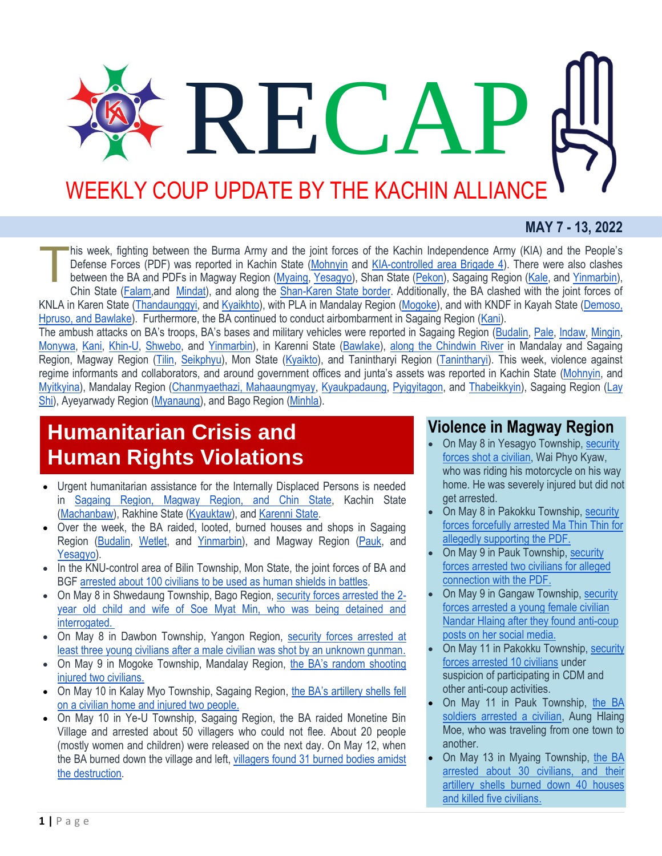# REC/ WEEKLY COUP UPDATE BY THE KACHIN ALLIANCE

#### **MAY 7 - 13, 2022**

his week, fighting between the Burma Army and the joint forces of the Kachin Independence Army (KIA) and the People's Defense Forces (PDF) was reported in Kachin State [\(Mohnyin](https://www.facebook.com/The74Media/posts/pfbid02hj4CHsDYgwfgTMm2dJMCCU8KjRgZ52MLThVmYrg4ngP2NJ8MZ4SHG1nhU9nWJAKGl) and [KIA-controlled area Brigade 4\)](http://burmese.dvb.no/archives/533115). There were also clashes between the BA and PDFs in Magway Region [\(Myaing,](http://burmese.dvb.no/archives/533043) [Yesagyo\)](http://burmese.dvb.no/archives/533315), Shan State [\(Pekon\)](http://burmese.dvb.no/archives/533273), Sagaing Region [\(Kale,](http://burmese.dvb.no/archives/532628) and [Yinmarbin\)](http://burmese.dvb.no/archives/533237), Chin State [\(Falam,](http://burmese.dvb.no/archives/532612)and [Mindat\)](http://burmese.dvb.no/archives/533130), and along the [Shan-Karen State border.](http://burmese.dvb.no/archives/533088) Additionally, the BA clashed with the joint forces of KNLA in Karen State [\(Thandaunggyi,](http://burmese.dvb.no/archives/533259) and [Kyaikhto\)](http://burmese.dvb.no/archives/532827), with PLA in Mandalay Region [\(Mogoke\)](http://burmese.dvb.no/archives/532534), and with KNDF in Kayah State [\(Demoso,](http://burmese.dvb.no/archives/532468)  [Hpruso, and Bawlake\)](http://burmese.dvb.no/archives/532468). Furthermore, the BA continued to conduct airbombarment in Sagaing Region [\(Kani\)](http://burmese.dvb.no/archives/532550). T

The ambush attacks on BA's troops, BA's bases and military vehicles were reported in Sagaing Region [\(Budalin,](https://www.facebook.com/The74Media/posts/pfbid02bHmws9XsXHJDjRkQH69J8sDnRGdnuvDDHfLswbWAeb3WAVv9ghAx5aeforCpgszfl) [Pale,](http://burmese.dvb.no/archives/533154) [Indaw,](https://www.facebook.com/The74Media/posts/pfbid032AfDUo6F9KLENVthatoMBG6fwdfWzk1YEt3YLgspLauEAgAnvknpL8dMMif8Q3pgl) [Mingin,](http://burmese.dvb.no/archives/532837) [Monywa,](http://burmese.dvb.no/archives/532458) [Kani,](https://www.facebook.com/The74Media/posts/pfbid02gdVhVuxiP3ZMn8gd2DkFtopHg4y2LjALikR6Rwu3fVzrywUwK8nuPbg8wvwo7n8nl) [Khin-U,](https://www.facebook.com/The74Media/posts/pfbid02Dscur1BGFRbKzvM4EG2sNySeFkqGw2rXp4sNn6fCA7aN7FxX5tey3vmbqnBhPSb2l) [Shwebo,](https://www.facebook.com/The74Media/posts/pfbid02owZLvsbbEkttCCjdoB4g3QADSGU9APWy8GteHzn6LUwMjjZFXYFCLL3VtJS3J63ul) and [Yinmarbin\)](https://www.facebook.com/The74Media/posts/pfbid0xk1PdN8MsJM2RX4bvuqjE6mwiXqfGVinbf37D9foCcyTLz4d3REQnzZkK9KyUSDpl), in Karenni State [\(Bawlake\)](https://www.facebook.com/The74Media/posts/pfbid0VEZGEbCqKSyzRfAbPVFGYqqK8xqDUC1xqBTF3PVgApKLRBQDL7JhCLm8TV9QtuHCl), [along the Chindwin River](http://burmese.dvb.no/archives/532988) in Mandalay and Sagaing Region, Magway Region [\(Tilin,](http://burmese.dvb.no/archives/532562) [Seikphyu\)](http://burmese.dvb.no/archives/532944), Mon State [\(Kyaikto\)](http://burmese.dvb.no/archives/532636), and Tanintharyi Region [\(Tanintharyi\)](http://burmese.dvb.no/archives/532359). This week, violence against regime informants and collaborators, and around government offices and junta's assets was reported in Kachin State [\(Mohnyin,](https://www.facebook.com/The74Media/posts/pfbid02Dscur1BGFRbKzvM4EG2sNySeFkqGw2rXp4sNn6fCA7aN7FxX5tey3vmbqnBhPSb2l) and [Myitkyina\)](http://burmese.dvb.no/archives/532250), Mandalay Region [\(Chanmyaethazi, Mahaaungmyay,](http://burmese.dvb.no/archives/532194) [Kyaukpadaung,](http://burmese.dvb.no/archives/532587) [Pyigyitagon,](http://burmese.dvb.no/archives/533190) and [Thabeikkyin\)](http://burmese.dvb.no/archives/532596), Sagaing Region [\(Lay](http://burmese.dvb.no/archives/532557)  [Shi\)](http://burmese.dvb.no/archives/532557), Ayeyarwady Region [\(Myanaung\)](http://burmese.dvb.no/archives/533170), and Bago Region [\(Minhla\)](http://burmese.dvb.no/archives/532778).

## **Humanitarian Crisis and Human Rights Violations**

- Urgent humanitarian assistance for the Internally Displaced Persons is needed in [Sagaing Region, Magway Region, and Chin State,](http://burmese.dvb.no/archives/532789) Kachin State [\(Machanbaw\)](http://burmese.dvb.no/archives/532508), Rakhine State [\(Kyauktaw\)](http://burmese.dvb.no/archives/532330), and [Karenni State.](http://burmese.dvb.no/archives/532279)
- Over the week, the BA raided, looted, burned houses and shops in Sagaing Region [\(Budalin,](https://www.facebook.com/The74Media/posts/pfbid084i1Mzihf6bPf3JFisd82F5tLGiuTbuGShM6nhW53wtJfJYVjeMjNRV4QqyHebaCl) [Wetlet,](http://burmese.dvb.no/archives/532209) and [Yinmarbin\)](https://www.facebook.com/The74Media/posts/pfbid0LktjQwkMxgh8pxi9abWuZPtCidFLuNp9ATW1s2u6XMYM77eG5ccgFyi2G2AaAexhl), and Magway Region [\(Pauk,](http://burmese.dvb.no/archives/533161) and [Yesagyo\)](http://burmese.dvb.no/archives/532764).
- In the KNU-control area of Bilin Township, Mon State, the joint forces of BA and BGF [arrested about 100 civilians to be used as human shields in battles.](http://burmese.dvb.no/archives/532646)
- On May 8 in Shwedaung Township, Bago Region, [security forces arrested the 2](http://burmese.dvb.no/archives/532244) [year old child and wife of Soe Myat Min, who was being detained and](http://burmese.dvb.no/archives/532244)  [interrogated.](http://burmese.dvb.no/archives/532244)
- On May 8 in Dawbon Township, Yangon Region, security forces arrested at [least three young civilians after a male civilian was shot by an unknown gunman.](http://burmese.dvb.no/archives/532392)
- On May 9 in Mogoke Township, Mandalay Region, the BA's random shooting [injured two civilians.](http://burmese.dvb.no/archives/532856)
- On May 10 in Kalay Myo Township, Sagaing Region, the BA's artillery shells fell [on a civilian home and injured two people.](http://burmese.dvb.no/archives/532733)
- On May 10 in Ye-U Township, Sagaing Region, the BA raided Monetine Bin Village and arrested about 50 villagers who could not flee. About 20 people (mostly women and children) were released on the next day. On May 12, when the BA burned down the village and left, [villagers found 31 burned bodies amidst](http://burmese.dvb.no/archives/533256)  [the destruction.](http://burmese.dvb.no/archives/533256)

### **Violence in Magway Region**

- On May 8 in Yesagyo Township, [security](http://burmese.dvb.no/archives/532452)  [forces shot a civilian,](http://burmese.dvb.no/archives/532452) Wai Phyo Kyaw, who was riding his motorcycle on his way home. He was severely injured but did not get arrested.
- On May 8 in Pakokku Township, [security](http://burmese.dvb.no/archives/532286)  [forces forcefully arrested Ma Thin Thin for](http://burmese.dvb.no/archives/532286)  [allegedly supporting the PDF.](http://burmese.dvb.no/archives/532286)
- On May 9 in Pauk Township, [security](http://burmese.dvb.no/archives/532383)  [forces arrested two civilians for alleged](http://burmese.dvb.no/archives/532383)  [connection with the PDF.](http://burmese.dvb.no/archives/532383)
- On May 9 in Gangaw Township, [security](http://burmese.dvb.no/archives/532713)  [forces arrested a young female civilian](http://burmese.dvb.no/archives/532713)  [Nandar Hlaing after they found anti-coup](http://burmese.dvb.no/archives/532713)  [posts on her social media.](http://burmese.dvb.no/archives/532713)
- On May 11 in Pakokku Township, [security](http://burmese.dvb.no/archives/532990)  [forces arrested 10 civilians](http://burmese.dvb.no/archives/532990) under suspicion of participating in CDM and other anti-coup activities.
- On May 11 in Pauk Township, [the BA](http://burmese.dvb.no/archives/532996)  [soldiers arrested a civilian,](http://burmese.dvb.no/archives/532996) Aung Hlaing Moe, who was traveling from one town to another.
- On May 13 in Myaing Township, the BA [arrested about 30 civilians, and their](http://burmese.dvb.no/archives/533222)  [artillery shells burned down 40 houses](http://burmese.dvb.no/archives/533222)  [and killed five civilians.](http://burmese.dvb.no/archives/533222)